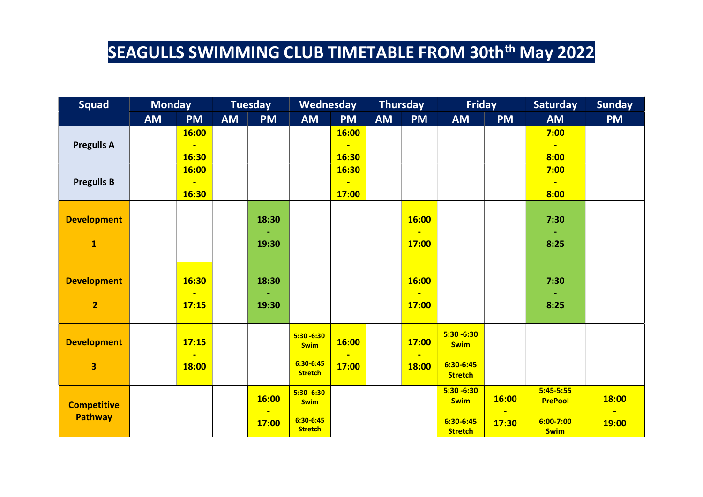| <b>Squad</b>            |           | <b>Monday</b><br><b>Tuesday</b> |           | Wednesday |                               |                | <b>Thursday</b> | <b>Friday</b> |                              | <b>Saturday</b> | <b>Sunday</b>                 |              |
|-------------------------|-----------|---------------------------------|-----------|-----------|-------------------------------|----------------|-----------------|---------------|------------------------------|-----------------|-------------------------------|--------------|
|                         | <b>AM</b> | <b>PM</b>                       | <b>AM</b> | <b>PM</b> | <b>AM</b>                     | <b>PM</b>      | <b>AM</b>       | <b>PM</b>     | <b>AM</b>                    | <b>PM</b>       | <b>AM</b>                     | <b>PM</b>    |
| <b>Pregulls A</b>       |           | 16:00<br>Ξ                      |           |           |                               | 16:00          |                 |               |                              |                 | 7:00<br>$\blacksquare$        |              |
|                         |           | 16:30                           |           |           |                               | 16:30          |                 |               |                              |                 | 8:00                          |              |
|                         |           | 16:00                           |           |           |                               | 16:30          |                 |               |                              |                 | 7:00                          |              |
| <b>Pregulls B</b>       |           | $\blacksquare$                  |           |           |                               | $\blacksquare$ |                 |               |                              |                 | $\blacksquare$                |              |
|                         |           | 16:30                           |           |           |                               | 17:00          |                 |               |                              |                 | 8:00                          |              |
| <b>Development</b>      |           |                                 |           | 18:30     |                               |                |                 | 16:00         |                              |                 | 7:30                          |              |
|                         |           |                                 |           |           |                               |                |                 |               |                              |                 |                               |              |
| $\mathbf{1}$            |           |                                 |           | 19:30     |                               |                |                 | <b>17:00</b>  |                              |                 | 8:25                          |              |
| <b>Development</b>      |           | 16:30                           |           | 18:30     |                               |                |                 | 16:00         |                              |                 | 7:30                          |              |
| $\overline{2}$          |           | ÷<br>17:15                      |           | 19:30     |                               |                |                 | 17:00         |                              |                 | 8:25                          |              |
|                         |           |                                 |           |           |                               |                |                 |               |                              |                 |                               |              |
| <b>Development</b>      |           | 17:15                           |           |           | $5:30 - 6:30$<br><b>Swim</b>  | 16:00          |                 | 17:00         | $5:30 - 6:30$<br><b>Swim</b> |                 |                               |              |
| $\overline{\mathbf{3}}$ |           | $\blacksquare$<br>18:00         |           |           | $6:30-6:45$<br><b>Stretch</b> | 17:00          |                 | 18:00         | 6:30-6:45<br><b>Stretch</b>  |                 |                               |              |
| <b>Competitive</b>      |           |                                 |           | 16:00     | $5:30 - 6:30$<br><b>Swim</b>  |                |                 |               | $5:30 - 6:30$<br><b>Swim</b> | 16:00           | $5:45-5:55$<br><b>PrePool</b> | <b>18:00</b> |
| <b>Pathway</b>          |           |                                 |           | 17:00     | $6:30-6:45$<br><b>Stretch</b> |                |                 |               | 6:30-6:45<br><b>Stretch</b>  | 17:30           | $6:00 - 7:00$<br><b>Swim</b>  | <b>19:00</b> |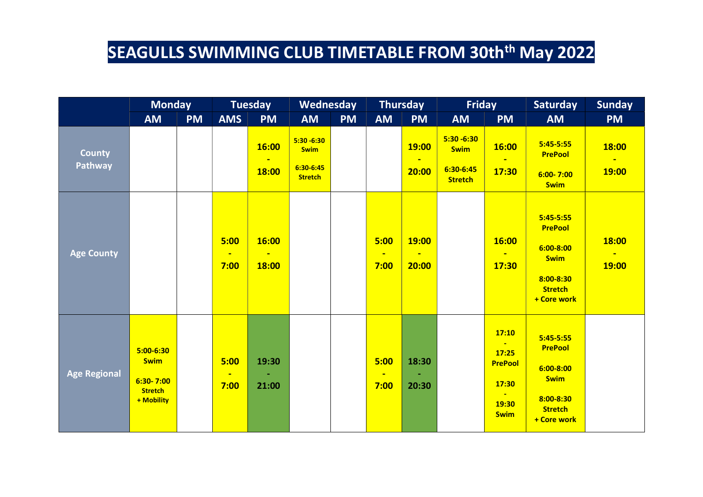|                          | <b>Monday</b>                                                                 |           | <b>Tuesday</b>                 |                | Wednesday                                                     |           | <b>Thursday</b>                |                                  | Friday                                                      |                                                                                     | <b>Saturday</b>                                                                                             | <b>Sunday</b>         |
|--------------------------|-------------------------------------------------------------------------------|-----------|--------------------------------|----------------|---------------------------------------------------------------|-----------|--------------------------------|----------------------------------|-------------------------------------------------------------|-------------------------------------------------------------------------------------|-------------------------------------------------------------------------------------------------------------|-----------------------|
|                          | <b>AM</b>                                                                     | <b>PM</b> | <b>AMS</b>                     | <b>PM</b>      | <b>AM</b>                                                     | <b>PM</b> | <b>AM</b>                      | <b>PM</b>                        | <b>AM</b>                                                   | <b>PM</b>                                                                           | <b>AM</b>                                                                                                   | <b>PM</b>             |
| <b>County</b><br>Pathway |                                                                               |           |                                | 16:00<br>18:00 | $5:30 - 6:30$<br><b>Swim</b><br>$6:30-6:45$<br><b>Stretch</b> |           |                                | 19:00<br>$\blacksquare$<br>20:00 | $5:30 - 6:30$<br><b>Swim</b><br>6:30-6:45<br><b>Stretch</b> | <b>16:00</b><br>17:30                                                               | $5:45-5:55$<br><b>PrePool</b><br>$6:00 - 7:00$<br><b>Swim</b>                                               | 18:00<br><b>19:00</b> |
| <b>Age County</b>        |                                                                               |           | 5:00<br>$\blacksquare$<br>7:00 | 16:00<br>18:00 |                                                               |           | 5:00<br>$\blacksquare$<br>7:00 | 19:00<br>20:00                   |                                                             | 16:00<br>17:30                                                                      | $5:45-5:55$<br><b>PrePool</b><br>$6:00 - 8:00$<br><b>Swim</b><br>8:00-8:30<br><b>Stretch</b><br>+ Core work | <b>18:00</b><br>19:00 |
| <b>Age Regional</b>      | $5:00 - 6:30$<br><b>Swim</b><br>$6:30 - 7:00$<br><b>Stretch</b><br>+ Mobility |           | 5:00<br>$\blacksquare$<br>7:00 | 19:30<br>21:00 |                                                               |           | 5:00<br>$\blacksquare$<br>7:00 | 18:30<br>20:30                   |                                                             | 17:10<br>$\blacksquare$<br>17:25<br><b>PrePool</b><br>17:30<br>19:30<br><b>Swim</b> | $5:45-5:55$<br><b>PrePool</b><br>$6:00 - 8:00$<br><b>Swim</b><br>8:00-8:30<br><b>Stretch</b><br>+ Core work |                       |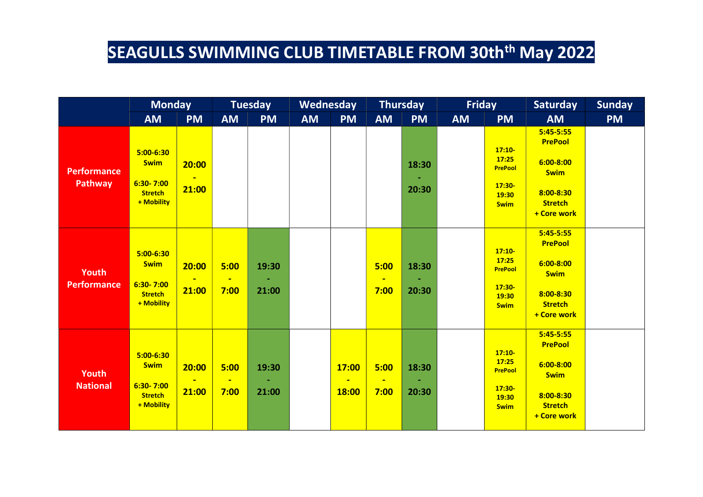|                               | <b>Monday</b>                                                                 |                                            | <b>Tuesday</b>                 |                | Wednesday |                                  | <b>Thursday</b>                |                | <b>Friday</b> |                                                                         | <b>Saturday</b>                                                                                                 | <b>Sunday</b> |
|-------------------------------|-------------------------------------------------------------------------------|--------------------------------------------|--------------------------------|----------------|-----------|----------------------------------|--------------------------------|----------------|---------------|-------------------------------------------------------------------------|-----------------------------------------------------------------------------------------------------------------|---------------|
|                               | <b>AM</b>                                                                     | <b>PM</b>                                  | <b>AM</b>                      | <b>PM</b>      | <b>AM</b> | <b>PM</b>                        | <b>AM</b>                      | <b>PM</b>      | <b>AM</b>     | <b>PM</b>                                                               | <b>AM</b>                                                                                                       | <b>PM</b>     |
| <b>Performance</b><br>Pathway | $5:00-6:30$<br><b>Swim</b><br>$6:30 - 7:00$<br><b>Stretch</b><br>+ Mobility   | 20:00<br>$\mathbf{r}$<br>21:00             |                                |                |           |                                  |                                | 18:30<br>20:30 |               | $17:10-$<br>17:25<br><b>PrePool</b><br>$17:30-$<br>19:30<br><b>Swim</b> | $5:45-5:55$<br><b>PrePool</b><br>$6:00 - 8:00$<br><b>Swim</b><br>8:00-8:30<br><b>Stretch</b><br>+ Core work     |               |
| Youth<br><b>Performance</b>   | $5:00-6:30$<br><b>Swim</b><br>$6:30 - 7:00$<br><b>Stretch</b><br>+ Mobility   | 20:00<br>$\overline{\phantom{a}}$<br>21:00 | 5:00<br>$\blacksquare$<br>7:00 | 19:30<br>21:00 |           |                                  | 5:00<br>$\blacksquare$<br>7:00 | 18:30<br>20:30 |               | $17:10-$<br>17:25<br><b>PrePool</b><br>$17:30-$<br>19:30<br><b>Swim</b> | $5:45-5:55$<br><b>PrePool</b><br>$6:00 - 8:00$<br><b>Swim</b><br>$8:00 - 8:30$<br><b>Stretch</b><br>+ Core work |               |
| Youth<br><b>National</b>      | $5:00 - 6:30$<br><b>Swim</b><br>$6:30 - 7:00$<br><b>Stretch</b><br>+ Mobility | 20:00<br>$\blacksquare$<br>21:00           | 5:00<br>$\blacksquare$<br>7:00 | 19:30<br>21:00 |           | 17:00<br>$\blacksquare$<br>18:00 | 5:00<br>$\blacksquare$<br>7:00 | 18:30<br>20:30 |               | $17:10-$<br>17:25<br><b>PrePool</b><br>$17:30-$<br>19:30<br><b>Swim</b> | $5:45-5:55$<br><b>PrePool</b><br>$6:00 - 8:00$<br><b>Swim</b><br>8:00-8:30<br><b>Stretch</b><br>+ Core work     |               |